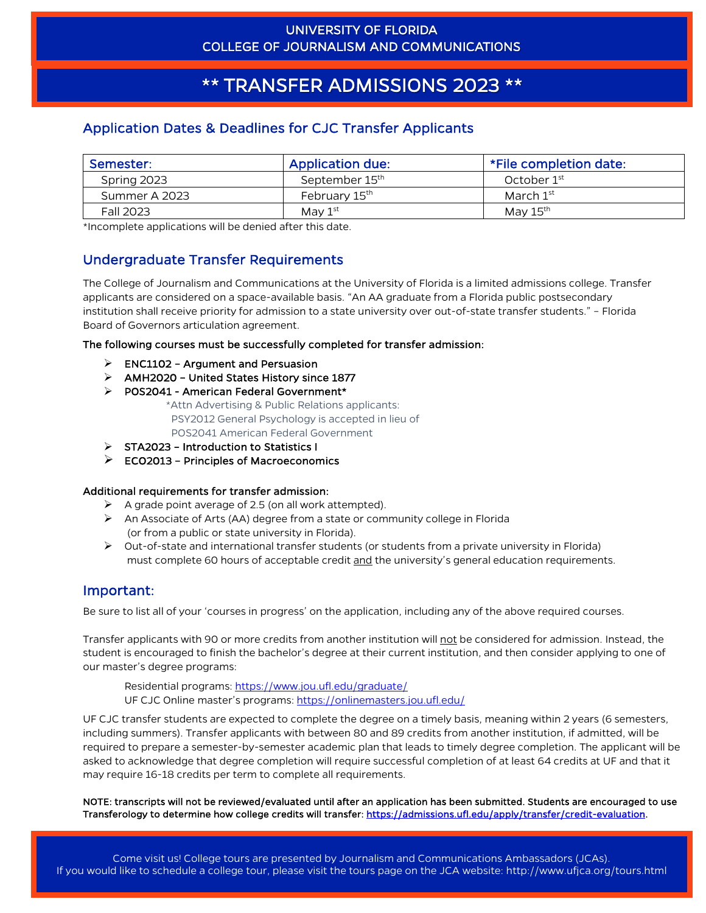# \*\* TRANSFER ADMISSIONS 2023 \*\*

# Application Dates & Deadlines for CJC Transfer Applicants

| Semester:     | <b>Application due:</b>    | *File completion date: |
|---------------|----------------------------|------------------------|
| Spring 2023   | September 15 <sup>th</sup> | October $1st$          |
| Summer A 2023 | February 15th              | March $1^\mathrm{st}$  |
| Fall 2023     | May $1st$                  | May $15th$             |

\*Incomplete applications will be denied after this date.

# Undergraduate Transfer Requirements

The College of Journalism and Communications at the University of Florida is a limited admissions college. Transfer applicants are considered on a space-available basis. "An AA graduate from a Florida public postsecondary institution shall receive priority for admission to a state university over out-of-state transfer students." – Florida Board of Governors articulation agreement.

### The following courses must be successfully completed for transfer admission:

- $\triangleright$  ENC1102 Argument and Persuasion
- $\triangleright$  AMH2020 United States History since 1877
- > POS2041 American Federal Government\*

\*Attn Advertising & Public Relations applicants: PSY2012 General Psychology is accepted in lieu of POS2041 American Federal Government

- $\triangleright$  STA2023 Introduction to Statistics I
- $\triangleright$  ECO2013 Principles of Macroeconomics

#### Additional requirements for transfer admission:

- $\triangleright$  A grade point average of 2.5 (on all work attempted).
- $\triangleright$  An Associate of Arts (AA) degree from a state or community college in Florida (or from a public or state university in Florida).
- $\triangleright$  Out-of-state and international transfer students (or students from a private university in Florida) must complete 60 hours of acceptable credit and the university's general education requirements.

# Important:

Be sure to list all of your 'courses in progress' on the application, including any of the above required courses.

Transfer applicants with 90 or more credits from another institution will not be considered for admission. Instead, the student is encouraged to finish the bachelor's degree at their current institution, and then consider applying to one of our master's degree programs:

Residential programs: https://www.jou.ufl.edu/graduate/ UF CJC Online master's programs[: https://onlinemasters.jou.ufl.edu/](https://onlinemasters.jou.ufl.edu/)

UF CJC transfer students are expected to complete the degree on a timely basis, meaning within 2 years (6 semesters, including summers). Transfer applicants with between 80 and 89 credits from another institution, if admitted, will be required to prepare a semester-by-semester academic plan that leads to timely degree completion. The applicant will be asked to acknowledge that degree completion will require successful completion of at least 64 credits at UF and that it may require 16-18 credits per term to complete all requirements.

NOTE: transcripts will not be reviewed/evaluated until after an application has been submitted. Students are encouraged to use Transferology to determine how college credits will transfer: [https://admissions.ufl.edu/apply/transfer/credit-evaluation.](https://admissions.ufl.edu/apply/transfer/credit-evaluation)